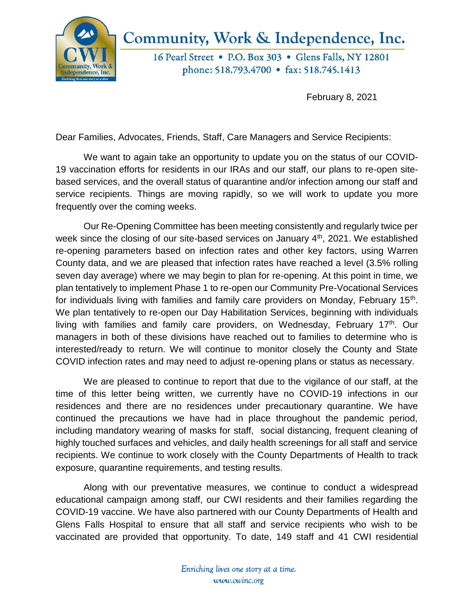

## Community, Work & Independence, Inc.

16 Pearl Street . P.O. Box 303 . Glens Falls, NY 12801 phone: 518.793.4700 • fax: 518.745.1413

February 8, 2021

Dear Families, Advocates, Friends, Staff, Care Managers and Service Recipients:

We want to again take an opportunity to update you on the status of our COVID-19 vaccination efforts for residents in our IRAs and our staff, our plans to re-open sitebased services, and the overall status of quarantine and/or infection among our staff and service recipients. Things are moving rapidly, so we will work to update you more frequently over the coming weeks.

Our Re-Opening Committee has been meeting consistently and regularly twice per week since the closing of our site-based services on January 4<sup>th</sup>, 2021. We established re-opening parameters based on infection rates and other key factors, using Warren County data, and we are pleased that infection rates have reached a level (3.5% rolling seven day average) where we may begin to plan for re-opening. At this point in time, we plan tentatively to implement Phase 1 to re-open our Community Pre-Vocational Services for individuals living with families and family care providers on Monday, February 15<sup>th</sup>. We plan tentatively to re-open our Day Habilitation Services, beginning with individuals living with families and family care providers, on Wednesday, February 17<sup>th</sup>. Our managers in both of these divisions have reached out to families to determine who is interested/ready to return. We will continue to monitor closely the County and State COVID infection rates and may need to adjust re-opening plans or status as necessary.

We are pleased to continue to report that due to the vigilance of our staff, at the time of this letter being written, we currently have no COVID-19 infections in our residences and there are no residences under precautionary quarantine. We have continued the precautions we have had in place throughout the pandemic period, including mandatory wearing of masks for staff, social distancing, frequent cleaning of highly touched surfaces and vehicles, and daily health screenings for all staff and service recipients. We continue to work closely with the County Departments of Health to track exposure, quarantine requirements, and testing results.

Along with our preventative measures, we continue to conduct a widespread educational campaign among staff, our CWI residents and their families regarding the COVID-19 vaccine. We have also partnered with our County Departments of Health and Glens Falls Hospital to ensure that all staff and service recipients who wish to be vaccinated are provided that opportunity. To date, 149 staff and 41 CWI residential